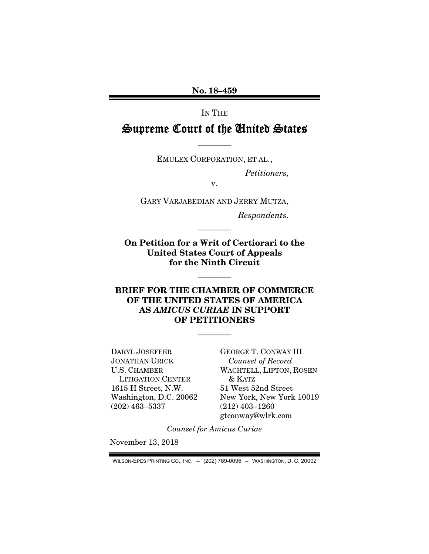No. 18–459

IN THE

## Supreme Court of the United States

EMULEX CORPORATION, ET AL.,

————

*Petitioners,* 

v.

GARY VARJABEDIAN AND JERRY MUTZA,

*Respondents.* 

On Petition for a Writ of Certiorari to the United States Court of Appeals for the Ninth Circuit

————

————

#### BRIEF FOR THE CHAMBER OF COMMERCE OF THE UNITED STATES OF AMERICA AS *AMICUS CURIAE* IN SUPPORT OF PETITIONERS

————

DARYL JOSEFFER JONATHAN URICK U.S. CHAMBER LITIGATION CENTER 1615 H Street, N.W. Washington, D.C. 20062 (202) 463–5337

GEORGE T. CONWAY III *Counsel of Record*  WACHTELL, LIPTON, ROSEN & KATZ 51 West 52nd Street New York, New York 10019 (212) 403–1260 gtconway@wlrk.com

*Counsel for Amicus Curiae* 

November 13, 2018

WILSON-EPES PRINTING CO., INC. – (202) 789-0096 – WASHINGTON, D. C. 20002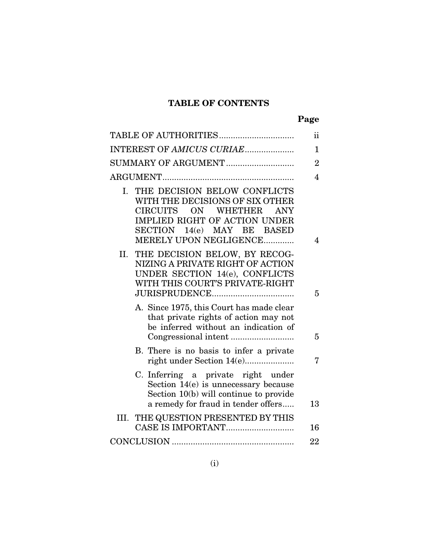### TABLE OF CONTENTS

|                                                                                                                                                                                                                               | ii             |
|-------------------------------------------------------------------------------------------------------------------------------------------------------------------------------------------------------------------------------|----------------|
| INTEREST OF AMICUS CURIAE                                                                                                                                                                                                     | $\mathbf{1}$   |
| SUMMARY OF ARGUMENT                                                                                                                                                                                                           | $\overline{2}$ |
|                                                                                                                                                                                                                               | 4              |
| I. THE DECISION BELOW CONFLICTS<br>WITH THE DECISIONS OF SIX OTHER<br>ON \<br><b>WHETHER</b><br><b>CIRCUITS</b><br><b>ANY</b><br><b>IMPLIED RIGHT OF ACTION UNDER</b><br>SECTION 14(e) MAY BE BASED<br>MERELY UPON NEGLIGENCE | 4              |
| THE DECISION BELOW, BY RECOG-<br>II.<br>NIZING A PRIVATE RIGHT OF ACTION<br>UNDER SECTION 14(e), CONFLICTS<br>WITH THIS COURT'S PRIVATE-RIGHT                                                                                 | 5              |
| A. Since 1975, this Court has made clear<br>that private rights of action may not<br>be inferred without an indication of                                                                                                     | 5              |
| B. There is no basis to infer a private<br>right under Section 14(e)                                                                                                                                                          | 7              |
| C. Inferring a private right under<br>Section 14(e) is unnecessary because<br>Section 10(b) will continue to provide<br>a remedy for fraud in tender offers                                                                   | 13             |
| III. THE QUESTION PRESENTED BY THIS                                                                                                                                                                                           | 16             |
|                                                                                                                                                                                                                               | 22             |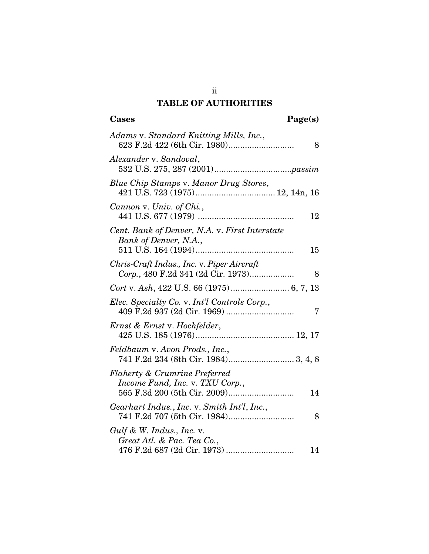### TABLE OF AUTHORITIES

| Adams v. Standard Knitting Mills, Inc.,<br>8                                          |
|---------------------------------------------------------------------------------------|
| Alexander v. Sandoval,                                                                |
| Blue Chip Stamps v. Manor Drug Stores,                                                |
| Cannon v. Univ. of Chi.,<br>12                                                        |
| Cent. Bank of Denver, N.A. v. First Interstate<br>Bank of Denver, N.A.,<br>15         |
| Chris-Craft Indus., Inc. v. Piper Aircraft<br>Corp., 480 F.2d 341 (2d Cir. 1973)<br>8 |
|                                                                                       |
| Elec. Specialty Co. v. Int'l Controls Corp.,<br>7                                     |
| Ernst & Ernst v. Hochfelder,                                                          |
| Feldbaum v. Avon Prods., Inc.,<br>741 F.2d 234 (8th Cir. 1984) 3, 4, 8                |
| <b>Flaherty &amp; Crumrine Preferred</b><br>Income Fund, Inc. v. TXU Corp.,<br>14     |
| Gearhart Indus., Inc. v. Smith Int'l, Inc.,<br>741 F.2d 707 (5th Cir. 1984)<br>8      |
| $Gulf$ & W. Indus., Inc. v.<br>Great Atl. & Pac. Tea Co.,<br>14                       |

ii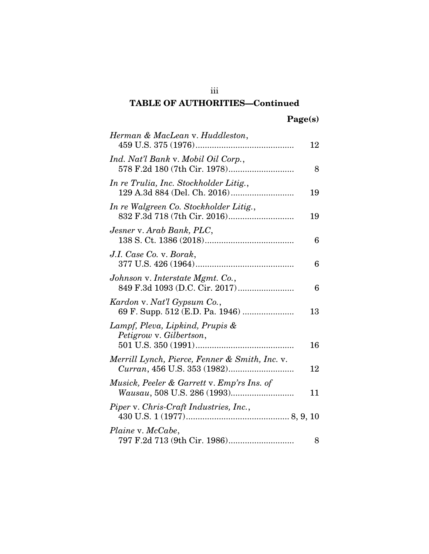### TABLE OF AUTHORITIES—Continued

| Herman & MacLean v. Huddleston,                                | 12 |
|----------------------------------------------------------------|----|
| Ind. Nat'l Bank v. Mobil Oil Corp.,                            | 8  |
| In re Trulia, Inc. Stockholder Litig.,                         | 19 |
| In re Walgreen Co. Stockholder Litig.,                         | 19 |
| Jesner v. Arab Bank, PLC,                                      | 6  |
| J.I. Case Co. v. Borak,                                        | 6  |
| Johnson v. Interstate Mgmt. Co.,                               | 6  |
| Kardon v. Nat'l Gypsum Co.,<br>69 F. Supp. 512 (E.D. Pa. 1946) | 13 |
| Lampf, Pleva, Lipkind, Prupis &<br>Petigrow v. Gilbertson,     | 16 |
| Merrill Lynch, Pierce, Fenner & Smith, Inc. v.                 | 12 |
| Musick, Peeler & Garrett v. Emp'rs Ins. of                     | 11 |
| Piper v. Chris-Craft Industries, Inc.,                         |    |
| Plaine v. McCabe,                                              | 8  |

iii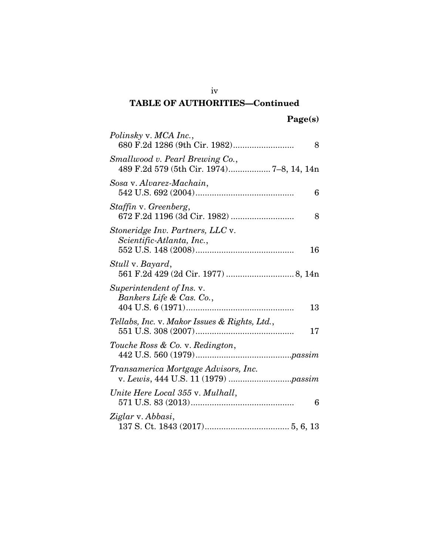### iv TABLE OF AUTHORITIES—Continued

| Polinsky v. MCA Inc.,<br>8                                                   |
|------------------------------------------------------------------------------|
| Smallwood v. Pearl Brewing Co.,<br>489 F.2d 579 (5th Cir. 1974) 7-8, 14, 14n |
| Sosa v. Alvarez-Machain,<br>6                                                |
| Staffin v. Greenberg,<br>8                                                   |
| Stoneridge Inv. Partners, LLC v.<br>Scientific-Atlanta, Inc.,<br>16          |
| Stull v. Bayard,                                                             |
| Superintendent of Ins. v.<br>Bankers Life & Cas. Co.,<br>13                  |
| Tellabs, Inc. v. Makor Issues & Rights, Ltd.,<br>17                          |
| Touche Ross & Co. v. Redington,                                              |
| Transamerica Mortgage Advisors, Inc.                                         |
| Unite Here Local 355 v. Mulhall,<br>6                                        |
| Ziglar v. Abbasi,                                                            |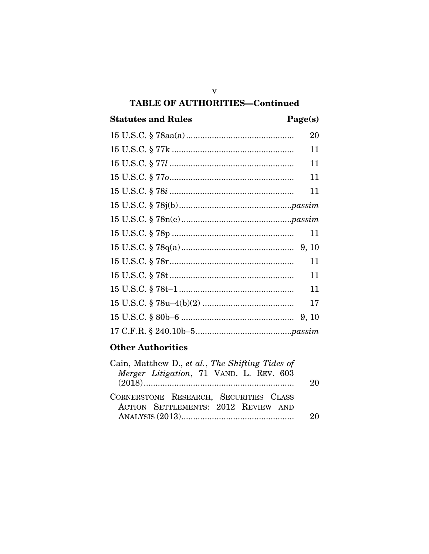### **TABLE OF AUTHORITIES-Continued**

### **Statutes and Rules**

### Page(s)

| 20 |
|----|
| 11 |
| 11 |
| 11 |
| 11 |
|    |
|    |
| 11 |
|    |
| 11 |
| 11 |
| 11 |
| 17 |
|    |
|    |
|    |

### **Other Authorities**

| Cain, Matthew D., et al., The Shifting Tides of<br>Merger Litigation, 71 VAND. L. REV. 603 | 20 |
|--------------------------------------------------------------------------------------------|----|
| CORNERSTONE RESEARCH, SECURITIES CLASS<br>ACTION SETTLEMENTS: 2012 REVIEW AND              |    |

 $\mathbf{V}$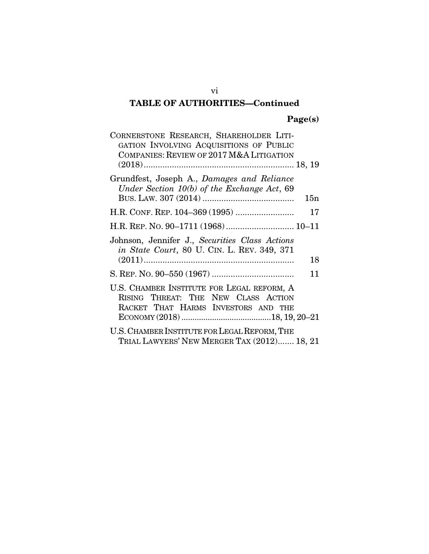### vi TABLE OF AUTHORITIES—Continued

### Page(s)

| CORNERSTONE RESEARCH, SHAREHOLDER LITI-<br>GATION INVOLVING ACQUISITIONS OF PUBLIC<br>COMPANIES: REVIEW OF 2017 M&A LITIGATION |     |
|--------------------------------------------------------------------------------------------------------------------------------|-----|
|                                                                                                                                |     |
| Grundfest, Joseph A., Damages and Reliance<br>Under Section 10(b) of the Exchange Act, 69                                      |     |
|                                                                                                                                | 15n |
|                                                                                                                                | 17  |
|                                                                                                                                |     |
| Johnson, Jennifer J., Securities Class Actions<br><i>in State Court</i> , 80 U. CIN. L. REV. 349, 371                          |     |
|                                                                                                                                | 18  |
|                                                                                                                                | 11  |
| U.S. CHAMBER INSTITUTE FOR LEGAL REFORM, A<br>RISING THREAT: THE NEW CLASS ACTION<br>RACKET THAT HARMS INVESTORS AND THE       |     |
| U.S. CHAMBER INSTITUTE FOR LEGAL REFORM, THE<br>TRIAL LAWYERS' NEW MERGER TAX (2012) 18, 21                                    |     |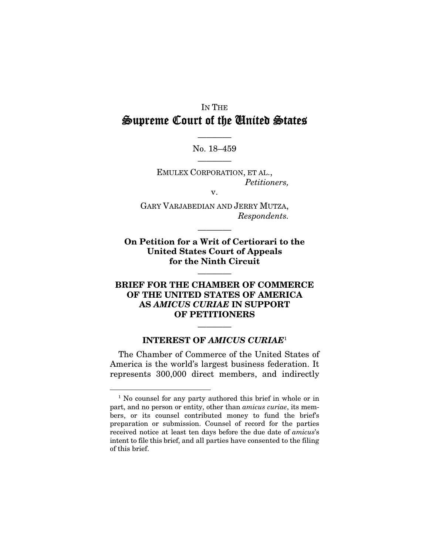### IN THE Supreme Court of the United States

———— No. 18–459 ————

EMULEX CORPORATION, ET AL., *Petitioners,* 

v.

GARY VARJABEDIAN AND JERRY MUTZA, *Respondents.* 

————

On Petition for a Writ of Certiorari to the United States Court of Appeals for the Ninth Circuit

————

#### BRIEF FOR THE CHAMBER OF COMMERCE OF THE UNITED STATES OF AMERICA AS *AMICUS CURIAE* IN SUPPORT OF PETITIONERS

#### INTEREST OF *AMICUS CURIAE*<sup>1</sup>

————

The Chamber of Commerce of the United States of America is the world's largest business federation. It represents 300,000 direct members, and indirectly

 <sup>1</sup> No counsel for any party authored this brief in whole or in part, and no person or entity, other than *amicus curiae*, its members, or its counsel contributed money to fund the brief's preparation or submission. Counsel of record for the parties received notice at least ten days before the due date of *amicus*'s intent to file this brief, and all parties have consented to the filing of this brief.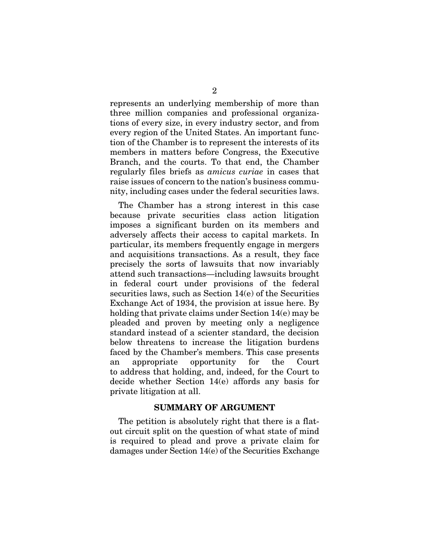represents an underlying membership of more than three million companies and professional organizations of every size, in every industry sector, and from every region of the United States. An important function of the Chamber is to represent the interests of its members in matters before Congress, the Executive Branch, and the courts. To that end, the Chamber regularly files briefs as *amicus curiae* in cases that raise issues of concern to the nation's business community, including cases under the federal securities laws.

The Chamber has a strong interest in this case because private securities class action litigation imposes a significant burden on its members and adversely affects their access to capital markets. In particular, its members frequently engage in mergers and acquisitions transactions. As a result, they face precisely the sorts of lawsuits that now invariably attend such transactions—including lawsuits brought in federal court under provisions of the federal securities laws, such as Section 14(e) of the Securities Exchange Act of 1934, the provision at issue here. By holding that private claims under Section 14(e) may be pleaded and proven by meeting only a negligence standard instead of a scienter standard, the decision below threatens to increase the litigation burdens faced by the Chamber's members. This case presents an appropriate opportunity for the Court to address that holding, and, indeed, for the Court to decide whether Section 14(e) affords any basis for private litigation at all.

#### SUMMARY OF ARGUMENT

The petition is absolutely right that there is a flatout circuit split on the question of what state of mind is required to plead and prove a private claim for damages under Section 14(e) of the Securities Exchange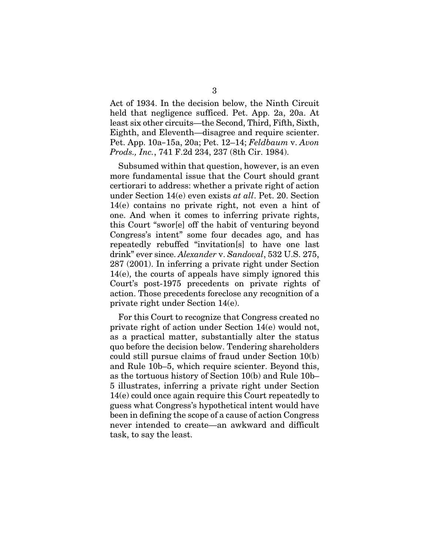Act of 1934. In the decision below, the Ninth Circuit held that negligence sufficed. Pet. App. 2a, 20a. At least six other circuits—the Second, Third, Fifth, Sixth, Eighth, and Eleventh—disagree and require scienter. Pet. App. 10a–15a, 20a; Pet. 12–14; *Feldbaum* v. *Avon Prods., Inc.*, 741 F.2d 234, 237 (8th Cir. 1984).

Subsumed within that question, however, is an even more fundamental issue that the Court should grant certiorari to address: whether a private right of action under Section 14(e) even exists *at all*. Pet. 20. Section 14(e) contains no private right, not even a hint of one. And when it comes to inferring private rights, this Court "swor[e] off the habit of venturing beyond Congress's intent" some four decades ago, and has repeatedly rebuffed "invitation[s] to have one last drink" ever since. *Alexander* v. *Sandoval*, 532 U.S. 275, 287 (2001). In inferring a private right under Section 14(e), the courts of appeals have simply ignored this Court's post-1975 precedents on private rights of action. Those precedents foreclose any recognition of a private right under Section 14(e).

For this Court to recognize that Congress created no private right of action under Section 14(e) would not, as a practical matter, substantially alter the status quo before the decision below. Tendering shareholders could still pursue claims of fraud under Section 10(b) and Rule 10b–5, which require scienter. Beyond this, as the tortuous history of Section 10(b) and Rule 10b– 5 illustrates, inferring a private right under Section 14(e) could once again require this Court repeatedly to guess what Congress's hypothetical intent would have been in defining the scope of a cause of action Congress never intended to create—an awkward and difficult task, to say the least.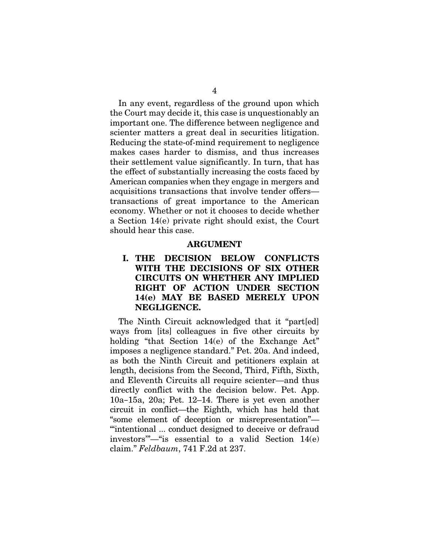In any event, regardless of the ground upon which the Court may decide it, this case is unquestionably an important one. The difference between negligence and scienter matters a great deal in securities litigation. Reducing the state-of-mind requirement to negligence makes cases harder to dismiss, and thus increases their settlement value significantly. In turn, that has the effect of substantially increasing the costs faced by American companies when they engage in mergers and acquisitions transactions that involve tender offers transactions of great importance to the American economy. Whether or not it chooses to decide whether a Section 14(e) private right should exist, the Court should hear this case.

#### ARGUMENT

### I. THE DECISION BELOW CONFLICTS WITH THE DECISIONS OF SIX OTHER CIRCUITS ON WHETHER ANY IMPLIED RIGHT OF ACTION UNDER SECTION 14(e) MAY BE BASED MERELY UPON NEGLIGENCE.

The Ninth Circuit acknowledged that it "part[ed] ways from [its] colleagues in five other circuits by holding "that Section 14(e) of the Exchange Act" imposes a negligence standard." Pet. 20a. And indeed, as both the Ninth Circuit and petitioners explain at length, decisions from the Second, Third, Fifth, Sixth, and Eleventh Circuits all require scienter—and thus directly conflict with the decision below. Pet. App. 10a–15a, 20a; Pet. 12–14. There is yet even another circuit in conflict—the Eighth, which has held that "some element of deception or misrepresentation"— "'intentional ... conduct designed to deceive or defraud investors'"—"is essential to a valid Section 14(e) claim." *Feldbaum*, 741 F.2d at 237.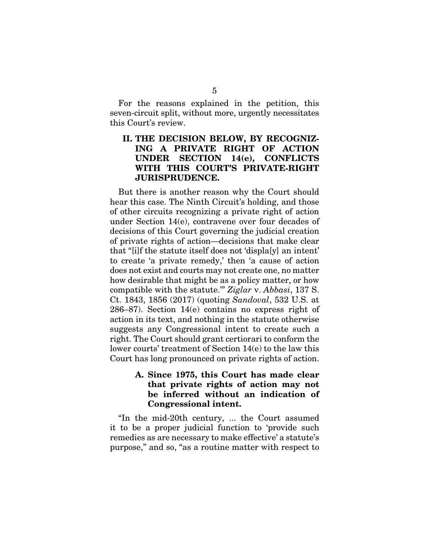For the reasons explained in the petition, this seven-circuit split, without more, urgently necessitates this Court's review.

### II. THE DECISION BELOW, BY RECOGNIZ-ING A PRIVATE RIGHT OF ACTION UNDER SECTION 14(e), CONFLICTS WITH THIS COURT'S PRIVATE-RIGHT JURISPRUDENCE.

But there is another reason why the Court should hear this case. The Ninth Circuit's holding, and those of other circuits recognizing a private right of action under Section 14(e), contravene over four decades of decisions of this Court governing the judicial creation of private rights of action—decisions that make clear that "[i]f the statute itself does not 'displa[y] an intent' to create 'a private remedy,' then 'a cause of action does not exist and courts may not create one, no matter how desirable that might be as a policy matter, or how compatible with the statute.'" *Ziglar* v. *Abbasi*, 137 S. Ct. 1843, 1856 (2017) (quoting *Sandoval*, 532 U.S. at 286–87). Section 14(e) contains no express right of action in its text, and nothing in the statute otherwise suggests any Congressional intent to create such a right. The Court should grant certiorari to conform the lower courts' treatment of Section 14(e) to the law this Court has long pronounced on private rights of action.

#### A. Since 1975, this Court has made clear that private rights of action may not be inferred without an indication of Congressional intent.

"In the mid-20th century, ... the Court assumed it to be a proper judicial function to 'provide such remedies as are necessary to make effective' a statute's purpose," and so, "as a routine matter with respect to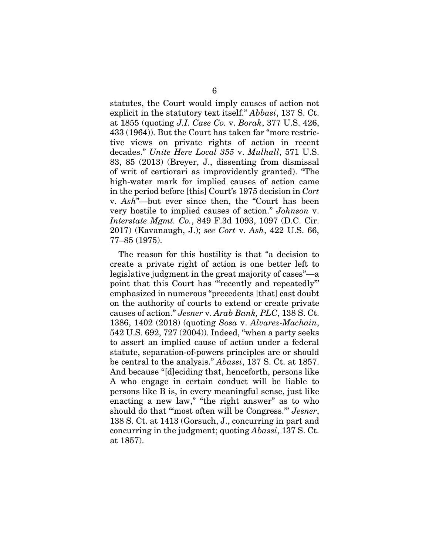statutes, the Court would imply causes of action not explicit in the statutory text itself." *Abbasi*, 137 S. Ct. at 1855 (quoting *J.I. Case Co.* v. *Borak*, 377 U.S. 426, 433 (1964)). But the Court has taken far "more restrictive views on private rights of action in recent decades." *Unite Here Local 355* v. *Mulhall*, 571 U.S. 83, 85 (2013) (Breyer, J., dissenting from dismissal of writ of certiorari as improvidently granted). "The high-water mark for implied causes of action came in the period before [this] Court's 1975 decision in *Cort*  v. *Ash*"—but ever since then, the "Court has been very hostile to implied causes of action." *Johnson* v. *Interstate Mgmt. Co.*, 849 F.3d 1093, 1097 (D.C. Cir. 2017) (Kavanaugh, J.); *see Cort* v. *Ash*, 422 U.S. 66, 77–85 (1975).

The reason for this hostility is that "a decision to create a private right of action is one better left to legislative judgment in the great majority of cases"—a point that this Court has "'recently and repeatedly'" emphasized in numerous "precedents [that] cast doubt on the authority of courts to extend or create private causes of action." *Jesner* v. *Arab Bank, PLC*, 138 S. Ct. 1386, 1402 (2018) (quoting *Sosa* v. *Alvarez-Machain*, 542 U.S. 692, 727 (2004)). Indeed, "when a party seeks to assert an implied cause of action under a federal statute, separation-of-powers principles are or should be central to the analysis." *Abassi*, 137 S. Ct. at 1857. And because "[d]eciding that, henceforth, persons like A who engage in certain conduct will be liable to persons like B is, in every meaningful sense, just like enacting a new law," "the right answer" as to who should do that "'most often will be Congress.'" *Jesner*, 138 S. Ct. at 1413 (Gorsuch, J., concurring in part and concurring in the judgment; quoting *Abassi*, 137 S. Ct. at 1857).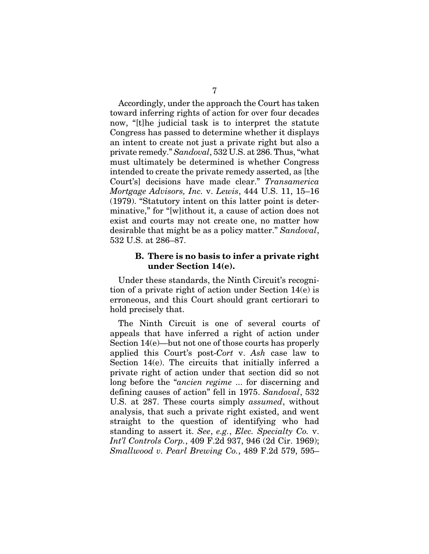Accordingly, under the approach the Court has taken toward inferring rights of action for over four decades now, "[t]he judicial task is to interpret the statute Congress has passed to determine whether it displays an intent to create not just a private right but also a private remedy." *Sandoval*, 532 U.S. at 286. Thus, "what must ultimately be determined is whether Congress intended to create the private remedy asserted, as [the Court's] decisions have made clear." *Transamerica Mortgage Advisors, Inc.* v. *Lewis*, 444 U.S. 11, 15–16 (1979). "Statutory intent on this latter point is determinative," for "[w]ithout it, a cause of action does not exist and courts may not create one, no matter how desirable that might be as a policy matter." *Sandoval*, 532 U.S. at 286–87.

#### B. There is no basis to infer a private right under Section 14(e).

Under these standards, the Ninth Circuit's recognition of a private right of action under Section 14(e) is erroneous, and this Court should grant certiorari to hold precisely that.

The Ninth Circuit is one of several courts of appeals that have inferred a right of action under Section 14(e)—but not one of those courts has properly applied this Court's post-*Cort* v. *Ash* case law to Section 14(e). The circuits that initially inferred a private right of action under that section did so not long before the "*ancien regime* ... for discerning and defining causes of action" fell in 1975. *Sandoval*, 532 U.S. at 287. These courts simply *assumed*, without analysis, that such a private right existed, and went straight to the question of identifying who had standing to assert it. *See*, *e.g.*, *Elec. Specialty Co.* v. *Int'l Controls Corp.*, 409 F.2d 937, 946 (2d Cir. 1969); *Smallwood v. Pearl Brewing Co.*, 489 F.2d 579, 595–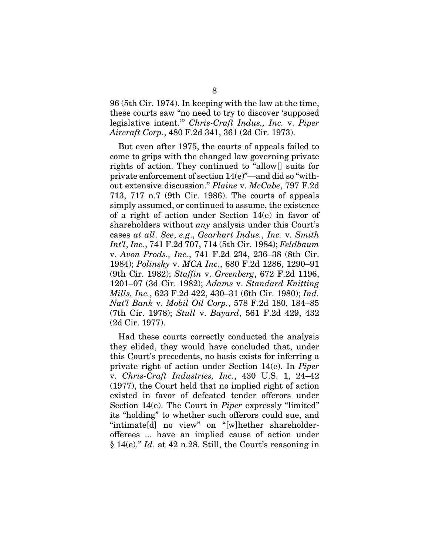96 (5th Cir. 1974). In keeping with the law at the time, these courts saw "no need to try to discover 'supposed legislative intent.'" *Chris-Craft Indus., Inc.* v. *Piper Aircraft Corp.*, 480 F.2d 341, 361 (2d Cir. 1973).

But even after 1975, the courts of appeals failed to come to grips with the changed law governing private rights of action. They continued to "allow[] suits for private enforcement of section 14(e)"—and did so "without extensive discussion." *Plaine* v. *McCabe*, 797 F.2d 713, 717 n.7 (9th Cir. 1986). The courts of appeals simply assumed, or continued to assume, the existence of a right of action under Section 14(e) in favor of shareholders without *any* analysis under this Court's cases *at all*. *See*, *e.g*., *Gearhart Indus.*, *Inc.* v. *Smith Int'l*, *Inc.*, 741 F.2d 707, 714 (5th Cir. 1984); *Feldbaum*  v. *Avon Prods., Inc.*, 741 F.2d 234, 236–38 (8th Cir. 1984); *Polinsky* v. *MCA Inc.*, 680 F.2d 1286, 1290–91 (9th Cir. 1982); *Staffin* v. *Greenberg*, 672 F.2d 1196, 1201–07 (3d Cir. 1982); *Adams* v. *Standard Knitting Mills, Inc.*, 623 F.2d 422, 430–31 (6th Cir. 1980); *Ind. Nat'l Bank* v. *Mobil Oil Corp.*, 578 F.2d 180, 184–85 (7th Cir. 1978); *Stull* v. *Bayard*, 561 F.2d 429, 432 (2d Cir. 1977).

Had these courts correctly conducted the analysis they elided, they would have concluded that, under this Court's precedents, no basis exists for inferring a private right of action under Section 14(e). In *Piper*  v. *Chris-Craft Industries, Inc.*, 430 U.S. 1, 24–42 (1977), the Court held that no implied right of action existed in favor of defeated tender offerors under Section 14(e). The Court in *Piper* expressly "limited" its "holding" to whether such offerors could sue, and "intimate[d] no view" on "[w]hether shareholderofferees ... have an implied cause of action under § 14(e)." *Id.* at 42 n.28. Still, the Court's reasoning in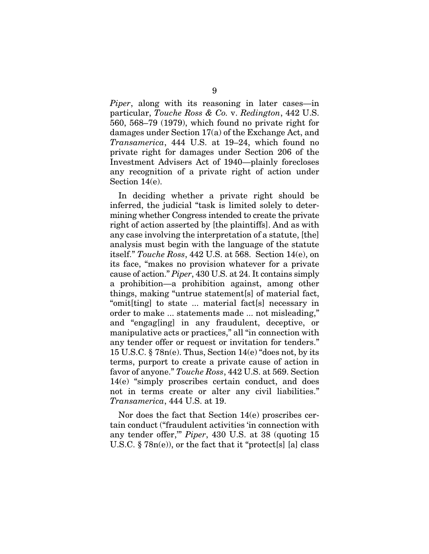*Piper*, along with its reasoning in later cases—in particular, *Touche Ross & Co.* v. *Redington*, 442 U.S. 560, 568–79 (1979), which found no private right for damages under Section 17(a) of the Exchange Act, and *Transamerica*, 444 U.S. at 19–24, which found no private right for damages under Section 206 of the Investment Advisers Act of 1940—plainly forecloses any recognition of a private right of action under Section 14(e).

In deciding whether a private right should be inferred, the judicial "task is limited solely to determining whether Congress intended to create the private right of action asserted by [the plaintiffs]. And as with any case involving the interpretation of a statute, [the] analysis must begin with the language of the statute itself." *Touche Ross*, 442 U.S. at 568. Section 14(e), on its face, "makes no provision whatever for a private cause of action." *Piper*, 430 U.S. at 24. It contains simply a prohibition—a prohibition against, among other things, making "untrue statement[s] of material fact, "omit[ting] to state ... material fact[s] necessary in order to make ... statements made ... not misleading," and "engag[ing] in any fraudulent, deceptive, or manipulative acts or practices," all "in connection with any tender offer or request or invitation for tenders." 15 U.S.C. § 78n(e). Thus, Section 14(e) "does not, by its terms, purport to create a private cause of action in favor of anyone." *Touche Ross*, 442 U.S. at 569. Section 14(e) "simply proscribes certain conduct, and does not in terms create or alter any civil liabilities." *Transamerica*, 444 U.S. at 19.

Nor does the fact that Section 14(e) proscribes certain conduct ("fraudulent activities 'in connection with any tender offer,'" *Piper*, 430 U.S. at 38 (quoting 15 U.S.C.  $\S 78n(e)$ , or the fact that it "protect[s] [a] class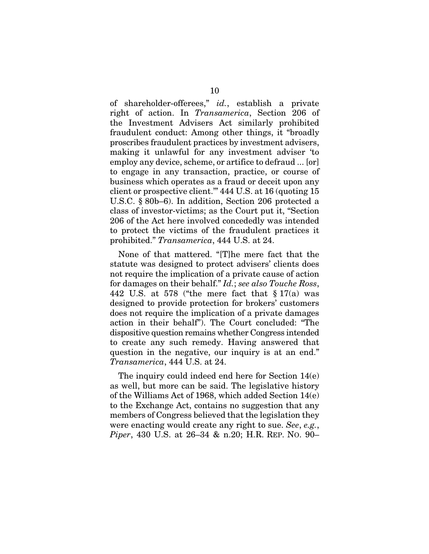of shareholder-offerees," *id.*, establish a private right of action. In *Transamerica*, Section 206 of the Investment Advisers Act similarly prohibited fraudulent conduct: Among other things, it "broadly proscribes fraudulent practices by investment advisers, making it unlawful for any investment adviser 'to employ any device, scheme, or artifice to defraud ... [or] to engage in any transaction, practice, or course of business which operates as a fraud or deceit upon any client or prospective client.'" 444 U.S. at 16 (quoting 15 U.S.C. § 80b–6). In addition, Section 206 protected a class of investor-victims; as the Court put it, "Section 206 of the Act here involved concededly was intended to protect the victims of the fraudulent practices it prohibited." *Transamerica*, 444 U.S. at 24.

None of that mattered. "[T]he mere fact that the statute was designed to protect advisers' clients does not require the implication of a private cause of action for damages on their behalf." *Id.*; *see also Touche Ross*, 442 U.S. at 578 ("the mere fact that § 17(a) was designed to provide protection for brokers' customers does not require the implication of a private damages action in their behalf"). The Court concluded: "The dispositive question remains whether Congress intended to create any such remedy. Having answered that question in the negative, our inquiry is at an end." *Transamerica*, 444 U.S. at 24.

The inquiry could indeed end here for Section 14(e) as well, but more can be said. The legislative history of the Williams Act of 1968, which added Section 14(e) to the Exchange Act, contains no suggestion that any members of Congress believed that the legislation they were enacting would create any right to sue. *See*, *e.g.*, *Piper*, 430 U.S. at 26–34 & n.20; H.R. REP. NO. 90–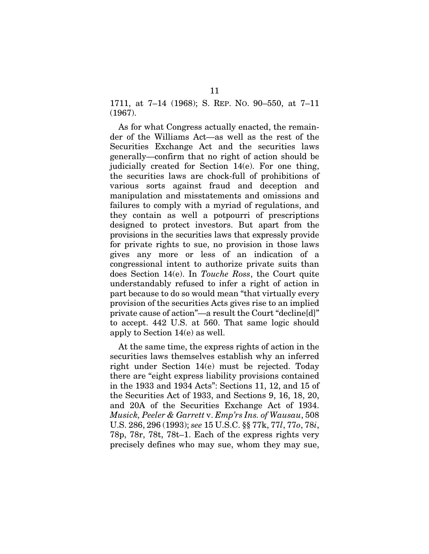1711, at 7–14 (1968); S. REP. NO. 90–550, at 7–11 (1967).

As for what Congress actually enacted, the remainder of the Williams Act—as well as the rest of the Securities Exchange Act and the securities laws generally—confirm that no right of action should be judicially created for Section 14(e). For one thing, the securities laws are chock-full of prohibitions of various sorts against fraud and deception and manipulation and misstatements and omissions and failures to comply with a myriad of regulations, and they contain as well a potpourri of prescriptions designed to protect investors. But apart from the provisions in the securities laws that expressly provide for private rights to sue, no provision in those laws gives any more or less of an indication of a congressional intent to authorize private suits than does Section 14(e). In *Touche Ross*, the Court quite understandably refused to infer a right of action in part because to do so would mean "that virtually every provision of the securities Acts gives rise to an implied private cause of action"—a result the Court "decline[d]" to accept. 442 U.S. at 560. That same logic should apply to Section 14(e) as well.

At the same time, the express rights of action in the securities laws themselves establish why an inferred right under Section 14(e) must be rejected. Today there are "eight express liability provisions contained in the 1933 and 1934 Acts": Sections 11, 12, and 15 of the Securities Act of 1933, and Sections 9, 16, 18, 20, and 20A of the Securities Exchange Act of 1934. *Musick, Peeler & Garrett* v. *Emp'rs Ins. of Wausau*, 508 U.S. 286, 296 (1993); *see* 15 U.S.C. §§ 77k, 77*l*, 77*o*, 78*i*, 78p, 78r, 78t, 78t–1. Each of the express rights very precisely defines who may sue, whom they may sue,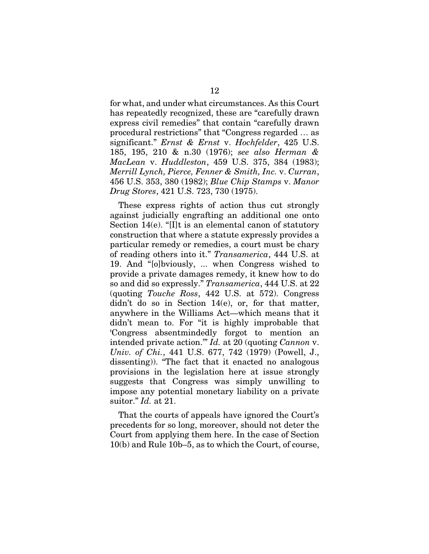for what, and under what circumstances. As this Court has repeatedly recognized, these are "carefully drawn express civil remedies" that contain "carefully drawn procedural restrictions" that "Congress regarded … as significant." *Ernst & Ernst* v. *Hochfelder*, 425 U.S. 185, 195, 210 & n.30 (1976); *see also Herman & MacLean* v. *Huddleston*, 459 U.S. 375, 384 (1983); *Merrill Lynch, Pierce, Fenner & Smith, Inc.* v. *Curran*, 456 U.S. 353, 380 (1982); *Blue Chip Stamps* v. *Manor Drug Stores*, 421 U.S. 723, 730 (1975).

These express rights of action thus cut strongly against judicially engrafting an additional one onto Section 14(e). "[I]t is an elemental canon of statutory construction that where a statute expressly provides a particular remedy or remedies, a court must be chary of reading others into it." *Transamerica*, 444 U.S. at 19. And "[o]bviously, ... when Congress wished to provide a private damages remedy, it knew how to do so and did so expressly." *Transamerica*, 444 U.S. at 22 (quoting *Touche Ross*, 442 U.S. at 572). Congress didn't do so in Section 14(e), or, for that matter, anywhere in the Williams Act—which means that it didn't mean to. For "it is highly improbable that 'Congress absentmindedly forgot to mention an intended private action.'" *Id.* at 20 (quoting *Cannon* v. *Univ. of Chi.*, 441 U.S. 677, 742 (1979) (Powell, J., dissenting)). "The fact that it enacted no analogous provisions in the legislation here at issue strongly suggests that Congress was simply unwilling to impose any potential monetary liability on a private suitor." *Id.* at 21.

That the courts of appeals have ignored the Court's precedents for so long, moreover, should not deter the Court from applying them here. In the case of Section 10(b) and Rule 10b–5, as to which the Court, of course,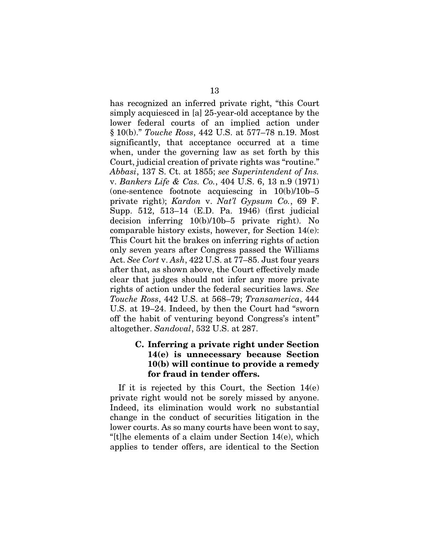has recognized an inferred private right, "this Court simply acquiesced in [a] 25-year-old acceptance by the lower federal courts of an implied action under § 10(b)." *Touche Ross*, 442 U.S. at 577–78 n.19. Most significantly, that acceptance occurred at a time when, under the governing law as set forth by this Court, judicial creation of private rights was "routine." *Abbasi*, 137 S. Ct. at 1855; *see Superintendent of Ins.*  v. *Bankers Life & Cas. Co.*, 404 U.S. 6, 13 n.9 (1971) (one-sentence footnote acquiescing in  $10(b)/10b-5$ private right); *Kardon* v. *Nat'l Gypsum Co.*, 69 F. Supp. 512, 513–14 (E.D. Pa. 1946) (first judicial decision inferring 10(b)/10b–5 private right). No comparable history exists, however, for Section 14(e): This Court hit the brakes on inferring rights of action only seven years after Congress passed the Williams Act. *See Cort* v. *Ash*, 422 U.S. at 77–85. Just four years after that, as shown above, the Court effectively made clear that judges should not infer any more private rights of action under the federal securities laws. *See Touche Ross*, 442 U.S. at 568–79; *Transamerica*, 444 U.S. at 19–24. Indeed, by then the Court had "sworn off the habit of venturing beyond Congress's intent" altogether. *Sandoval*, 532 U.S. at 287.

### C. Inferring a private right under Section 14(e) is unnecessary because Section 10(b) will continue to provide a remedy for fraud in tender offers.

If it is rejected by this Court, the Section  $14(e)$ private right would not be sorely missed by anyone. Indeed, its elimination would work no substantial change in the conduct of securities litigation in the lower courts. As so many courts have been wont to say, "[t]he elements of a claim under Section 14(e), which applies to tender offers, are identical to the Section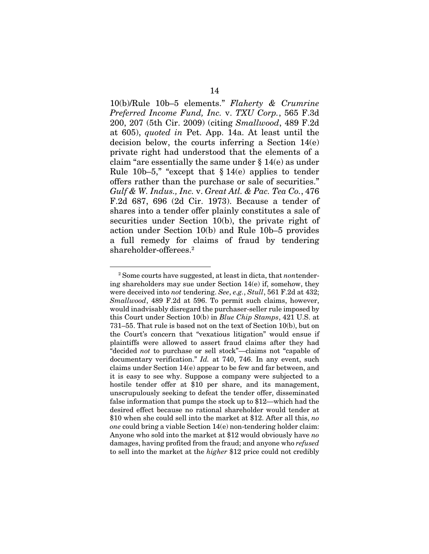10(b)/Rule 10b–5 elements." *Flaherty & Crumrine Preferred Income Fund, Inc.* v. *TXU Corp.*, 565 F.3d 200, 207 (5th Cir. 2009) (citing *Smallwood*, 489 F.2d at 605), *quoted in* Pet. App. 14a. At least until the decision below, the courts inferring a Section 14(e) private right had understood that the elements of a claim "are essentially the same under § 14(e) as under Rule 10b–5," "except that  $\S 14(e)$  applies to tender offers rather than the purchase or sale of securities." *Gulf & W. Indus., Inc.* v. *Great Atl. & Pac. Tea Co.*, 476 F.2d 687, 696 (2d Cir. 1973). Because a tender of shares into a tender offer plainly constitutes a sale of securities under Section 10(b), the private right of action under Section 10(b) and Rule 10b–5 provides a full remedy for claims of fraud by tendering shareholder-offerees.2

 <sup>2</sup> Some courts have suggested, at least in dicta, that *non*tendering shareholders may sue under Section 14(e) if, somehow, they were deceived into *not* tendering. *See*, *e.g.*, *Stull*, 561 F.2d at 432; *Smallwood*, 489 F.2d at 596. To permit such claims, however, would inadvisably disregard the purchaser-seller rule imposed by this Court under Section 10(b) in *Blue Chip Stamps*, 421 U.S. at 731–55. That rule is based not on the text of Section 10(b), but on the Court's concern that "vexatious litigation" would ensue if plaintiffs were allowed to assert fraud claims after they had "decided *not* to purchase or sell stock"—claims not "capable of documentary verification." *Id.* at 740, 746. In any event, such claims under Section 14(e) appear to be few and far between, and it is easy to see why. Suppose a company were subjected to a hostile tender offer at \$10 per share, and its management, unscrupulously seeking to defeat the tender offer, disseminated false information that pumps the stock up to \$12—which had the desired effect because no rational shareholder would tender at \$10 when she could sell into the market at \$12. After all this, *no one* could bring a viable Section 14(e) non-tendering holder claim: Anyone who sold into the market at \$12 would obviously have *no* damages, having profited from the fraud; and anyone who *refused*  to sell into the market at the *higher* \$12 price could not credibly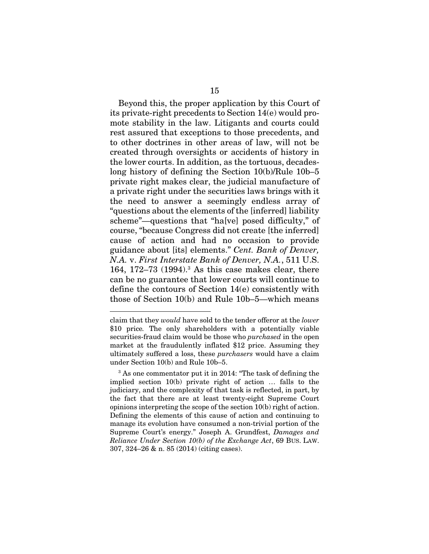Beyond this, the proper application by this Court of its private-right precedents to Section 14(e) would promote stability in the law. Litigants and courts could rest assured that exceptions to those precedents, and to other doctrines in other areas of law, will not be created through oversights or accidents of history in the lower courts. In addition, as the tortuous, decadeslong history of defining the Section 10(b)/Rule 10b–5 private right makes clear, the judicial manufacture of a private right under the securities laws brings with it the need to answer a seemingly endless array of "questions about the elements of the [inferred] liability scheme"—questions that "ha[ve] posed difficulty," of course, "because Congress did not create [the inferred] cause of action and had no occasion to provide guidance about [its] elements." *Cent. Bank of Denver, N.A.* v. *First Interstate Bank of Denver, N.A.*, 511 U.S. 164, 172–73 (1994).<sup>3</sup> As this case makes clear, there can be no guarantee that lower courts will continue to define the contours of Section 14(e) consistently with those of Section 10(b) and Rule 10b–5—which means

-

claim that they *would* have sold to the tender offeror at the *lower*  \$10 price*.* The only shareholders with a potentially viable securities-fraud claim would be those who *purchased* in the open market at the fraudulently inflated \$12 price. Assuming they ultimately suffered a loss, these *purchasers* would have a claim under Section 10(b) and Rule 10b–5.

<sup>&</sup>lt;sup>3</sup> As one commentator put it in 2014: "The task of defining the implied section 10(b) private right of action … falls to the judiciary, and the complexity of that task is reflected, in part, by the fact that there are at least twenty-eight Supreme Court opinions interpreting the scope of the section 10(b) right of action. Defining the elements of this cause of action and continuing to manage its evolution have consumed a non-trivial portion of the Supreme Court's energy." Joseph A. Grundfest, *Damages and Reliance Under Section 10(b) of the Exchange Act*, 69 BUS. LAW. 307, 324–26 & n. 85 (2014) (citing cases).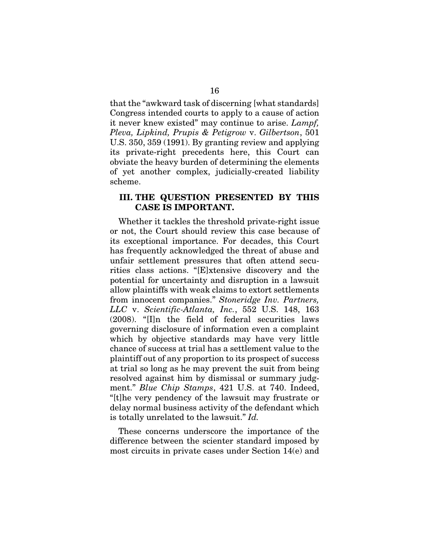that the "awkward task of discerning [what standards] Congress intended courts to apply to a cause of action it never knew existed" may continue to arise. *Lampf, Pleva, Lipkind, Prupis & Petigrow* v. *Gilbertson*, 501 U.S. 350, 359 (1991). By granting review and applying its private-right precedents here, this Court can obviate the heavy burden of determining the elements of yet another complex, judicially-created liability scheme.

#### III. THE QUESTION PRESENTED BY THIS CASE IS IMPORTANT.

Whether it tackles the threshold private-right issue or not, the Court should review this case because of its exceptional importance. For decades, this Court has frequently acknowledged the threat of abuse and unfair settlement pressures that often attend securities class actions. "[E]xtensive discovery and the potential for uncertainty and disruption in a lawsuit allow plaintiffs with weak claims to extort settlements from innocent companies." *Stoneridge Inv. Partners, LLC* v. *Scientific-Atlanta, Inc.*, 552 U.S. 148, 163 (2008). "[I]n the field of federal securities laws governing disclosure of information even a complaint which by objective standards may have very little chance of success at trial has a settlement value to the plaintiff out of any proportion to its prospect of success at trial so long as he may prevent the suit from being resolved against him by dismissal or summary judgment." *Blue Chip Stamps*, 421 U.S. at 740. Indeed, "[t]he very pendency of the lawsuit may frustrate or delay normal business activity of the defendant which is totally unrelated to the lawsuit." *Id.*

These concerns underscore the importance of the difference between the scienter standard imposed by most circuits in private cases under Section 14(e) and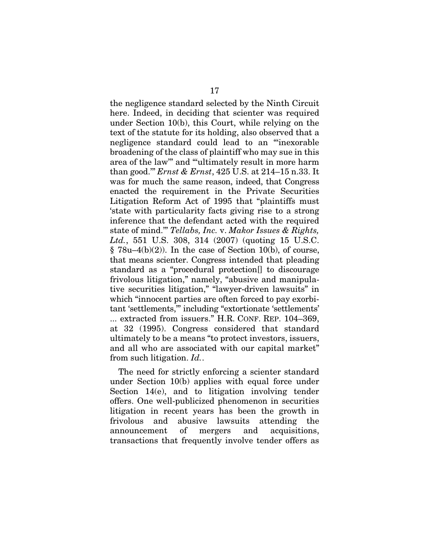the negligence standard selected by the Ninth Circuit here. Indeed, in deciding that scienter was required under Section 10(b), this Court, while relying on the text of the statute for its holding, also observed that a negligence standard could lead to an "'inexorable broadening of the class of plaintiff who may sue in this area of the law'" and "'ultimately result in more harm than good.'" *Ernst & Ernst*, 425 U.S. at 214–15 n.33. It was for much the same reason, indeed, that Congress enacted the requirement in the Private Securities Litigation Reform Act of 1995 that "plaintiffs must 'state with particularity facts giving rise to a strong inference that the defendant acted with the required state of mind.'" *Tellabs, Inc.* v. *Makor Issues & Rights, Ltd.*, 551 U.S. 308, 314 (2007) (quoting 15 U.S.C.  $§ 78u-4(b)(2)$ . In the case of Section 10(b), of course, that means scienter. Congress intended that pleading standard as a "procedural protection[] to discourage frivolous litigation," namely, "abusive and manipulative securities litigation," "lawyer-driven lawsuits" in which "innocent parties are often forced to pay exorbitant 'settlements,'" including "extortionate 'settlements' ... extracted from issuers." H.R. CONF. REP. 104–369, at 32 (1995). Congress considered that standard ultimately to be a means "to protect investors, issuers, and all who are associated with our capital market" from such litigation. *Id.*.

The need for strictly enforcing a scienter standard under Section 10(b) applies with equal force under Section 14(e), and to litigation involving tender offers. One well-publicized phenomenon in securities litigation in recent years has been the growth in frivolous and abusive lawsuits attending the announcement of mergers and acquisitions, transactions that frequently involve tender offers as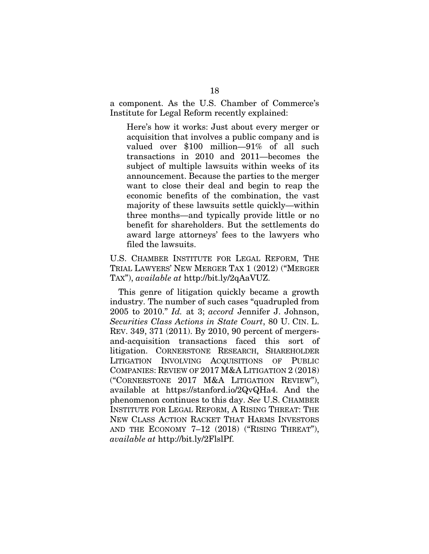a component. As the U.S. Chamber of Commerce's Institute for Legal Reform recently explained:

Here's how it works: Just about every merger or acquisition that involves a public company and is valued over \$100 million—91% of all such transactions in 2010 and 2011—becomes the subject of multiple lawsuits within weeks of its announcement. Because the parties to the merger want to close their deal and begin to reap the economic benefits of the combination, the vast majority of these lawsuits settle quickly—within three months—and typically provide little or no benefit for shareholders. But the settlements do award large attorneys' fees to the lawyers who filed the lawsuits.

U.S. CHAMBER INSTITUTE FOR LEGAL REFORM, THE TRIAL LAWYERS' NEW MERGER TAX 1 (2012) ("MERGER TAX"), *available at* http://bit.ly/2qAaVUZ.

This genre of litigation quickly became a growth industry. The number of such cases "quadrupled from 2005 to 2010." *Id.* at 3; *accord* Jennifer J. Johnson, *Securities Class Actions in State Court*, 80 U. CIN. L. REV. 349, 371 (2011). By 2010, 90 percent of mergersand-acquisition transactions faced this sort of litigation. CORNERSTONE RESEARCH, SHAREHOLDER LITIGATION INVOLVING ACQUISITIONS OF PUBLIC COMPANIES: REVIEW OF 2017 M&A LITIGATION 2 (2018) ("CORNERSTONE 2017 M&A LITIGATION REVIEW"), available at https://stanford.io/2QvQHa4. And the phenomenon continues to this day. *See* U.S. CHAMBER INSTITUTE FOR LEGAL REFORM, A RISING THREAT: THE NEW CLASS ACTION RACKET THAT HARMS INVESTORS AND THE ECONOMY 7-12 (2018) ("RISING THREAT"), *available at* http://bit.ly/2FlslPf.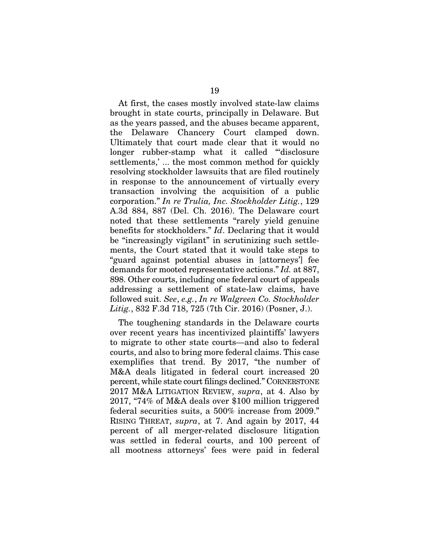At first, the cases mostly involved state-law claims brought in state courts, principally in Delaware. But as the years passed, and the abuses became apparent, the Delaware Chancery Court clamped down. Ultimately that court made clear that it would no longer rubber-stamp what it called "'disclosure settlements,' ... the most common method for quickly resolving stockholder lawsuits that are filed routinely in response to the announcement of virtually every transaction involving the acquisition of a public corporation." *In re Trulia, Inc. Stockholder Litig.*, 129 A.3d 884, 887 (Del. Ch. 2016). The Delaware court noted that these settlements "rarely yield genuine benefits for stockholders." *Id*. Declaring that it would be "increasingly vigilant" in scrutinizing such settlements, the Court stated that it would take steps to "guard against potential abuses in [attorneys'] fee demands for mooted representative actions." *Id.* at 887, 898. Other courts, including one federal court of appeals addressing a settlement of state-law claims, have followed suit. *See*, *e.g.*, *In re Walgreen Co. Stockholder Litig.*, 832 F.3d 718, 725 (7th Cir. 2016) (Posner, J.).

The toughening standards in the Delaware courts over recent years has incentivized plaintiffs' lawyers to migrate to other state courts—and also to federal courts, and also to bring more federal claims. This case exemplifies that trend. By 2017, "the number of M&A deals litigated in federal court increased 20 percent, while state court filings declined." CORNERSTONE 2017 M&A LITIGATION REVIEW, *supra*, at 4. Also by 2017, "74% of M&A deals over \$100 million triggered federal securities suits, a 500% increase from 2009." RISING THREAT, *supra*, at 7. And again by 2017, 44 percent of all merger-related disclosure litigation was settled in federal courts, and 100 percent of all mootness attorneys' fees were paid in federal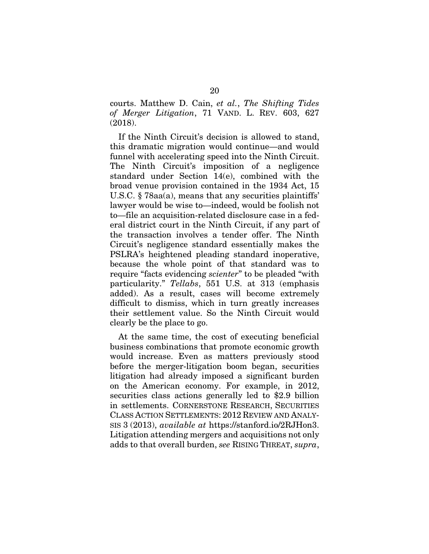courts. Matthew D. Cain, *et al.*, *The Shifting Tides of Merger Litigation*, 71 VAND. L. REV. 603, 627 (2018).

If the Ninth Circuit's decision is allowed to stand, this dramatic migration would continue—and would funnel with accelerating speed into the Ninth Circuit. The Ninth Circuit's imposition of a negligence standard under Section 14(e), combined with the broad venue provision contained in the 1934 Act, 15 U.S.C. § 78aa(a), means that any securities plaintiffs' lawyer would be wise to—indeed, would be foolish not to—file an acquisition-related disclosure case in a federal district court in the Ninth Circuit, if any part of the transaction involves a tender offer. The Ninth Circuit's negligence standard essentially makes the PSLRA's heightened pleading standard inoperative, because the whole point of that standard was to require "facts evidencing *scienter*" to be pleaded "with particularity." *Tellabs*, 551 U.S. at 313 (emphasis added). As a result, cases will become extremely difficult to dismiss, which in turn greatly increases their settlement value. So the Ninth Circuit would clearly be the place to go.

At the same time, the cost of executing beneficial business combinations that promote economic growth would increase. Even as matters previously stood before the merger-litigation boom began, securities litigation had already imposed a significant burden on the American economy. For example, in 2012, securities class actions generally led to \$2.9 billion in settlements. CORNERSTONE RESEARCH, SECURITIES CLASS ACTION SETTLEMENTS: 2012 REVIEW AND ANALY-SIS 3 (2013), *available at* https://stanford.io/2RJHon3. Litigation attending mergers and acquisitions not only adds to that overall burden, *see* RISING THREAT, *supra*,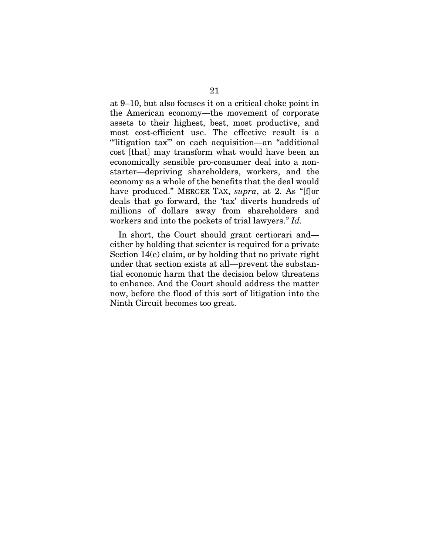at 9–10, but also focuses it on a critical choke point in the American economy—the movement of corporate assets to their highest, best, most productive, and most cost-efficient use. The effective result is a "'litigation tax'" on each acquisition—an "additional cost [that] may transform what would have been an economically sensible pro-consumer deal into a nonstarter—depriving shareholders, workers, and the economy as a whole of the benefits that the deal would have produced." MERGER TAX, *supra*, at 2. As "[f]or deals that go forward, the 'tax' diverts hundreds of millions of dollars away from shareholders and workers and into the pockets of trial lawyers." *Id.*

In short, the Court should grant certiorari and either by holding that scienter is required for a private Section 14(e) claim, or by holding that no private right under that section exists at all—prevent the substantial economic harm that the decision below threatens to enhance. And the Court should address the matter now, before the flood of this sort of litigation into the Ninth Circuit becomes too great.